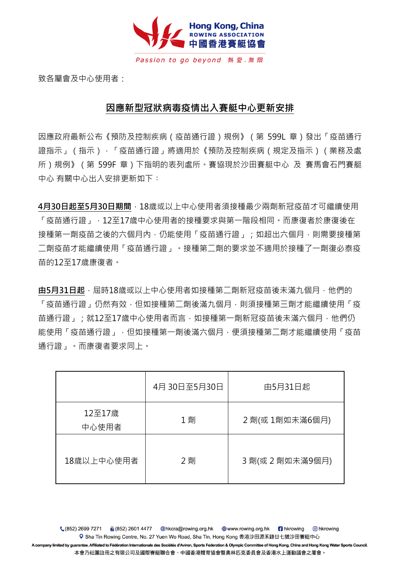

致各屬會及中心使用者:

## **因應新型冠狀病毒疫情出入賽艇中心更新安排**

因應政府最新公布《預防及控制疾病(疫苗通行證)規例》(第 599L 章)發出「疫苗通行 證指示」(指示),「疫苗通行證」將適用於《預防及控制疾病(規定及指示)(業務及處 所)規例》 ( 第 599F 章 ) 下指明的表列處所。賽協現於沙田賽艇中心 及 賽馬會石門賽艇 中心 有關中心出入安排更新如下:

**4月30日起至5月30日期間**,18歲或以上中心使用者須接種最少兩劑新冠疫苗才可繼續使用 「疫苗通行證」,12至17歲中心使用者的接種要求與第一階段相同。而康復者於康復後在 接種第一劑疫苗之後的六個月內,仍能使用「疫苗通行證」;如超出六個月,則需要接種第 二劑疫苗才能繼續使用「疫苗通行證」。接種第二劑的要求並不適用於接種了一劑復必泰疫 苗的12至17歲康復者。

**由5月31日起**,屆時18歲或以上中心使用者如接種第二劑新冠疫苗後未滿九個月,他們的 「疫苗通行證」仍然有效,但如接種第二劑後滿九個月,則須接種第三劑才能繼續使用「疫 苗通行證」;就12至17歲中心使用者而言,如接種第一劑新冠疫苗後未滿六個月,他們仍 能使用「疫苗通行證」,但如接種第一劑後滿六個月,便須接種第二劑才能繼續使用「疫苗 通行證」。而康復者要求同上。

|                 | 4月 30日至5月30日 | 由5月31日起          |
|-----------------|--------------|------------------|
| 12至17歳<br>中心使用者 | 1 劑          | 2 劑(或 1劑如未滿6個月)  |
| 18歳以上中心使用者      | 2 劑          | 3 劑(或 2 劑如未滿9個月) |

0 hkrowing Q Sha Tin Rowing Centre, No. 27 Yuen Wo Road, Sha Tin, Hong Kong 香港沙田源禾路廿七號沙田賽艇中心 A company limited by guarantee. Affiliated to Fédération Internationale des Sociétés d'Aviron, Sports Federation & Olympic Committee of Hong Kong, China and Hong Kong Water Sports Council. 本會乃社團註冊之有限公司及國際賽艇聯合會、中國香港體育協會暨奧林匹克委員會及香港水上運動議會之屬會。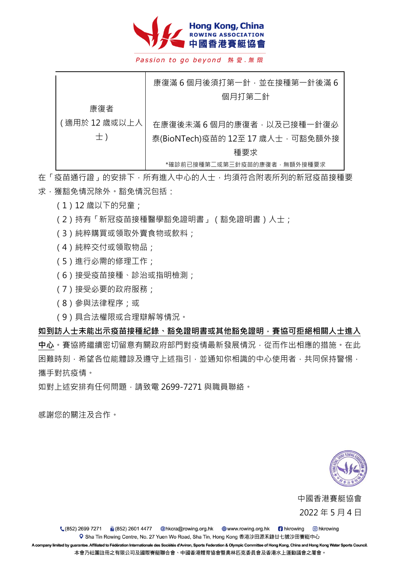

Passion to go beyond 熱愛.無限

|               | 康復滿6個月後須打第一針,並在接種第一針後滿6           |
|---------------|-----------------------------------|
|               | 個月打第二針                            |
| 康復者           |                                   |
| (適用於 12 歳或以上人 | 在康復後未滿6個月的康復者,以及已接種一針復必           |
| $\pm$ )       | 泰(BioNTech)疫苗的 12至 17 歲人士, 可豁免額外接 |
|               | 種要求                               |
|               | *確診前已接種第二或第三針疫苗的康復者,無額外接種要求       |

在「疫苗通行證」的安排下,所有進入中心的人士,均須符合附表所列的新冠疫苗接種要 求,獲豁免情況除外。豁免情況包括:

- (1)12 歲以下的兒童;
- (2)持有「新冠疫苗接種醫學豁免證明書」(豁免證明書)人士;
- (3)純粹購買或領取外賣食物或飲料;
- (4)純粹交付或領取物品;
- (5)進行必需的修理工作;
- (6)接受疫苗接種、診治或指明檢測;
- (7)接受必要的政府服務;
- (8)參與法律程序;或
- (9)具合法權限或合理辯解等情況。

如到訪人士未能出示疫苗接種紀錄、豁免證明書或其他豁免證明, 賽協可拒絕相關人士進入 **中心**。賽協將繼續密切留意有關政府部門對疫情最新發展情況,從而作出相應的措施。在此 困難時刻,希望各位能體諒及遵守上述指引,並通知你相識的中心使用者,共同保持警惕, 攜手對抗疫情。

如對上述安排有任何問題,請致電 2699-7271 與職員聯絡。

感謝您的關注及合作。



中國香港賽艇協會 2022 年 5 月 4 日

■ (852) 2601 4477 @hkcra@rowing.org.hk ⊕ www.rowing.org.hk ■ hkrowing (852) 2699 7271 o hkrowing Q Sha Tin Rowing Centre, No. 27 Yuen Wo Road, Sha Tin, Hong Kong 香港沙田源禾路廿七號沙田賽艇中心

A company limited by guarantee. Affiliated to Fédération Internationale des Sociétés d'Aviron, Sports Federation & Olympic Committee of Hong Kong, China and Hong Kong Water Sports Council. 本會乃社團註冊之有限公司及國際賽艇聯合會、中國香港體育協會暨奧林匹克委員會及香港水上運動議會之屬會。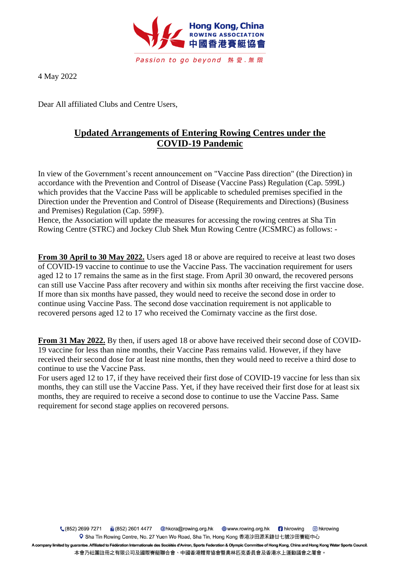

4 May 2022

Dear All affiliated Clubs and Centre Users,

## **Updated Arrangements of Entering Rowing Centres under the COVID-19 Pandemic**

In view of the Government's recent announcement on "Vaccine Pass direction" (the Direction) in accordance with the Prevention and Control of Disease (Vaccine Pass) Regulation (Cap. 599L) which provides that the Vaccine Pass will be applicable to scheduled premises specified in the Direction under the Prevention and Control of Disease (Requirements and Directions) (Business and Premises) Regulation (Cap. 599F).

Hence, the Association will update the measures for accessing the rowing centres at Sha Tin Rowing Centre (STRC) and Jockey Club Shek Mun Rowing Centre (JCSMRC) as follows: -

**From 30 April to 30 May 2022.** Users aged 18 or above are required to receive at least two doses of COVID-19 vaccine to continue to use the Vaccine Pass. The vaccination requirement for users aged 12 to 17 remains the same as in the first stage. From April 30 onward, the recovered persons can still use Vaccine Pass after recovery and within six months after receiving the first vaccine dose. If more than six months have passed, they would need to receive the second dose in order to continue using Vaccine Pass. The second dose vaccination requirement is not applicable to recovered persons aged 12 to 17 who received the Comirnaty vaccine as the first dose.

**From 31 May 2022.** By then, if users aged 18 or above have received their second dose of COVID-19 vaccine for less than nine months, their Vaccine Pass remains valid. However, if they have received their second dose for at least nine months, then they would need to receive a third dose to continue to use the Vaccine Pass.

For users aged 12 to 17, if they have received their first dose of COVID-19 vaccine for less than six months, they can still use the Vaccine Pass. Yet, if they have received their first dose for at least six months, they are required to receive a second dose to continue to use the Vaccine Pass. Same requirement for second stage applies on recovered persons.